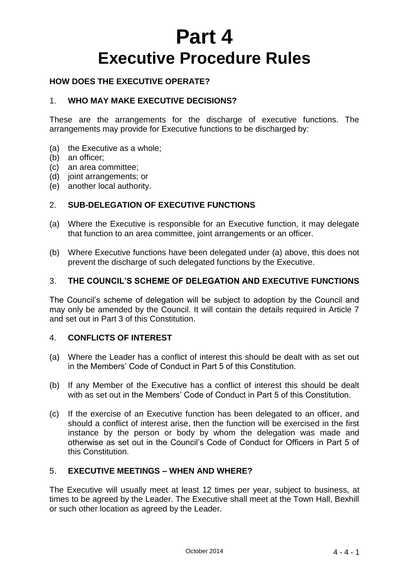# **Part 4 Executive Procedure Rules**

# **HOW DOES THE EXECUTIVE OPERATE?**

## 1. **WHO MAY MAKE EXECUTIVE DECISIONS?**

These are the arrangements for the discharge of executive functions. The arrangements may provide for Executive functions to be discharged by:

- (a) the Executive as a whole;
- (b) an officer;
- (c) an area committee;
- (d) joint arrangements; or
- (e) another local authority.

## 2. **SUB-DELEGATION OF EXECUTIVE FUNCTIONS**

- (a) Where the Executive is responsible for an Executive function, it may delegate that function to an area committee, joint arrangements or an officer.
- (b) Where Executive functions have been delegated under (a) above, this does not prevent the discharge of such delegated functions by the Executive.

## 3. **THE COUNCIL'S SCHEME OF DELEGATION AND EXECUTIVE FUNCTIONS**

The Council's scheme of delegation will be subject to adoption by the Council and may only be amended by the Council. It will contain the details required in Article 7 and set out in Part 3 of this Constitution.

## 4. **CONFLICTS OF INTEREST**

- (a) Where the Leader has a conflict of interest this should be dealt with as set out in the Members' Code of Conduct in Part 5 of this Constitution.
- (b) If any Member of the Executive has a conflict of interest this should be dealt with as set out in the Members' Code of Conduct in Part 5 of this Constitution.
- (c) If the exercise of an Executive function has been delegated to an officer, and should a conflict of interest arise, then the function will be exercised in the first instance by the person or body by whom the delegation was made and otherwise as set out in the Council's Code of Conduct for Officers in Part 5 of this Constitution.

## 5. **EXECUTIVE MEETINGS – WHEN AND WHERE?**

The Executive will usually meet at least 12 times per year, subject to business, at times to be agreed by the Leader. The Executive shall meet at the Town Hall, Bexhill or such other location as agreed by the Leader.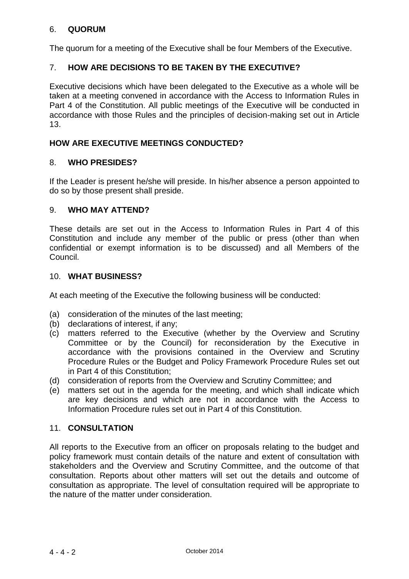# 6. **QUORUM**

The quorum for a meeting of the Executive shall be four Members of the Executive.

# 7. **HOW ARE DECISIONS TO BE TAKEN BY THE EXECUTIVE?**

Executive decisions which have been delegated to the Executive as a whole will be taken at a meeting convened in accordance with the Access to Information Rules in Part 4 of the Constitution. All public meetings of the Executive will be conducted in accordance with those Rules and the principles of decision-making set out in Article 13.

## **HOW ARE EXECUTIVE MEETINGS CONDUCTED?**

### 8. **WHO PRESIDES?**

If the Leader is present he/she will preside. In his/her absence a person appointed to do so by those present shall preside.

### 9. **WHO MAY ATTEND?**

These details are set out in the Access to Information Rules in Part 4 of this Constitution and include any member of the public or press (other than when confidential or exempt information is to be discussed) and all Members of the Council.

#### 10. **WHAT BUSINESS?**

At each meeting of the Executive the following business will be conducted:

- (a) consideration of the minutes of the last meeting;
- (b) declarations of interest, if any;
- (c) matters referred to the Executive (whether by the Overview and Scrutiny Committee or by the Council) for reconsideration by the Executive in accordance with the provisions contained in the Overview and Scrutiny Procedure Rules or the Budget and Policy Framework Procedure Rules set out in Part 4 of this Constitution;
- (d) consideration of reports from the Overview and Scrutiny Committee; and
- (e) matters set out in the agenda for the meeting, and which shall indicate which are key decisions and which are not in accordance with the Access to Information Procedure rules set out in Part 4 of this Constitution.

#### 11. **CONSULTATION**

All reports to the Executive from an officer on proposals relating to the budget and policy framework must contain details of the nature and extent of consultation with stakeholders and the Overview and Scrutiny Committee, and the outcome of that consultation. Reports about other matters will set out the details and outcome of consultation as appropriate. The level of consultation required will be appropriate to the nature of the matter under consideration.